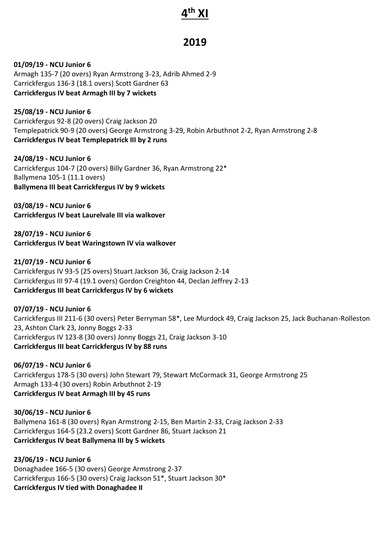# **4 th XI**

# **2019**

**01/09/19 - NCU Junior 6** Armagh 135-7 (20 overs) Ryan Armstrong 3-23, Adrib Ahmed 2-9 Carrickfergus 136-3 (18.1 overs) Scott Gardner 63 **Carrickfergus IV beat Armagh III by 7 wickets**

**25/08/19 - NCU Junior 6** Carrickfergus 92-8 (20 overs) Craig Jackson 20 Templepatrick 90-9 (20 overs) George Armstrong 3-29, Robin Arbuthnot 2-2, Ryan Armstrong 2-8 **Carrickfergus IV beat Templepatrick III by 2 runs**

**24/08/19 - NCU Junior 6** Carrickfergus 104-7 (20 overs) Billy Gardner 36, Ryan Armstrong 22\* Ballymena 105-1 (11.1 overs) **Ballymena III beat Carrickfergus IV by 9 wickets**

**03/08/19 - NCU Junior 6 Carrickfergus IV beat Laurelvale III via walkover**

**28/07/19 - NCU Junior 6 Carrickfergus IV beat Waringstown IV via walkover**

**21/07/19 - NCU Junior 6** Carrickfergus IV 93-5 (25 overs) Stuart Jackson 36, Craig Jackson 2-14 Carrickfergus III 97-4 (19.1 overs) Gordon Creighton 44, Declan Jeffrey 2-13 **Carrickfergus III beat Carrickfergus IV by 6 wickets**

**07/07/19 - NCU Junior 6** Carrickfergus III 211-6 (30 overs) Peter Berryman 58\*, Lee Murdock 49, Craig Jackson 25, Jack Buchanan-Rolleston 23, Ashton Clark 23, Jonny Boggs 2-33 Carrickfergus IV 123-8 (30 overs) Jonny Boggs 21, Craig Jackson 3-10 **Carrickfergus III beat Carrickfergus IV by 88 runs**

**06/07/19 - NCU Junior 6** Carrickfergus 178-5 (30 overs) John Stewart 79, Stewart McCormack 31, George Armstrong 25 Armagh 133-4 (30 overs) Robin Arbuthnot 2-19 **Carrickfergus IV beat Armagh III by 45 runs**

**30/06/19 - NCU Junior 6** Ballymena 161-8 (30 overs) Ryan Armstrong 2-15, Ben Martin 2-33, Craig Jackson 2-33 Carrickfergus 164-5 (23.2 overs) Scott Gardner 86, Stuart Jackson 21 **Carrickfergus IV beat Ballymena III by 5 wickets**

**23/06/19 - NCU Junior 6** Donaghadee 166-5 (30 overs) George Armstrong 2-37 Carrickfergus 166-5 (30 overs) Craig Jackson 51\*, Stuart Jackson 30\* **Carrickfergus IV tied with Donaghadee II**